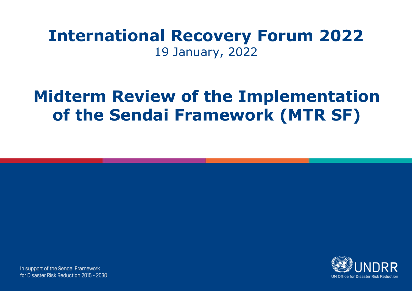# **International Recovery Forum 2022** 19 January, 2022

# **Midterm Review of the Implementation of the Sendai Framework (MTR SF)**



In support of the Sendai Framework for Disaster Risk Reduction 2015 - 2030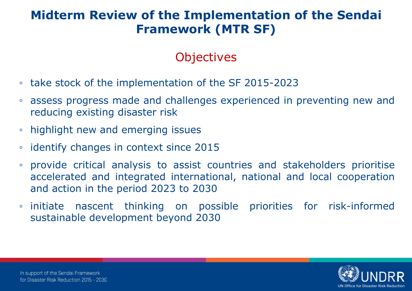# **Objectives**

- take stock of the implementation of the SF 2015-2023
- assess progress made and challenges experienced in preventing new and reducing existing disaster risk
- highlight new and emerging issues
- identify changes in context since 2015
- provide critical analysis to assist countries and stakeholders prioritise accelerated and integrated international, national and local cooperation and action in the period 2023 to 2030
- initiate nascent thinking on possible priorities for risk-informed sustainable development beyond 2030

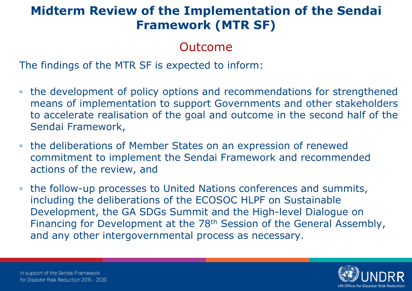#### Outcome

The findings of the MTR SF is expected to inform:

- the development of policy options and recommendations for strengthened means of implementation to support Governments and other stakeholders to accelerate realisation of the goal and outcome in the second half of the Sendai Framework,
- the deliberations of Member States on an expression of renewed commitment to implement the Sendai Framework and recommended actions of the review, and
- □ the follow-up processes to United Nations conferences and summits, including the deliberations of the ECOSOC HLPF on Sustainable Development, the GA SDGs Summit and the High-level Dialogue on Financing for Development at the 78<sup>th</sup> Session of the General Assembly, and any other intergovernmental process as necessary.

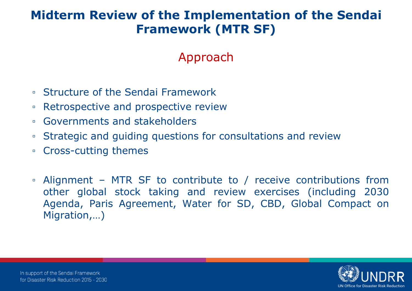# Approach

- Structure of the Sendai Framework
- Retrospective and prospective review
- Governments and stakeholders
- Strategic and guiding questions for consultations and review
- Cross-cutting themes
- Alignment MTR SF to contribute to / receive contributions from other global stock taking and review exercises (including 2030 Agenda, Paris Agreement, Water for SD, CBD, Global Compact on Migration,…)

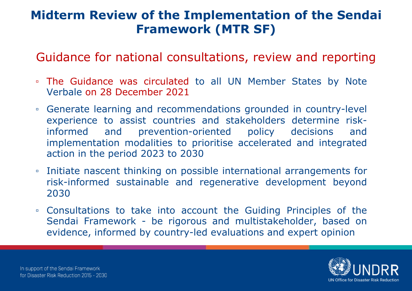Guidance for national consultations, review and reporting

- The Guidance was circulated to all UN Member States by Note Verbale on 28 December 2021
- Generate learning and recommendations grounded in country-level experience to assist countries and stakeholders determine riskinformed and prevention-oriented policy decisions and implementation modalities to prioritise accelerated and integrated action in the period 2023 to 2030
- Initiate nascent thinking on possible international arrangements for risk-informed sustainable and regenerative development beyond 2030
- Consultations to take into account the Guiding Principles of the Sendai Framework - be rigorous and multistakeholder, based on evidence, informed by country-led evaluations and expert opinion

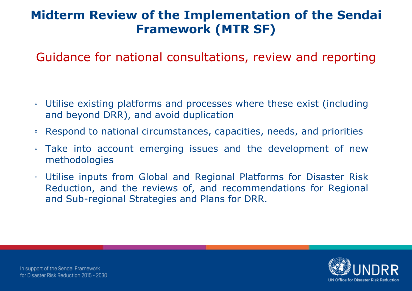Guidance for national consultations, review and reporting

- Utilise existing platforms and processes where these exist (including and beyond DRR), and avoid duplication
- Respond to national circumstances, capacities, needs, and priorities
- Take into account emerging issues and the development of new methodologies
- Utilise inputs from Global and Regional Platforms for Disaster Risk Reduction, and the reviews of, and recommendations for Regional and Sub-regional Strategies and Plans for DRR.

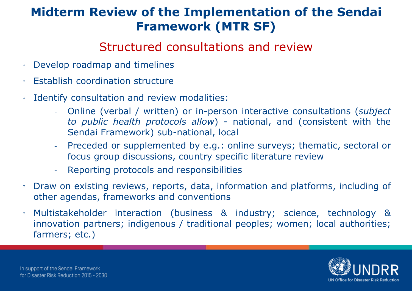#### Structured consultations and review

- Develop roadmap and timelines
- Establish coordination structure
- Identify consultation and review modalities:
	- Online (verbal / written) or in-person interactive consultations (*subject to public health protocols allow*) - national, and (consistent with the Sendai Framework) sub-national, local
	- Preceded or supplemented by e.g.: online surveys; thematic, sectoral or focus group discussions, country specific literature review
	- Reporting protocols and responsibilities
- Draw on existing reviews, reports, data, information and platforms, including of other agendas, frameworks and conventions
- Multistakeholder interaction (business & industry; science, technology & innovation partners; indigenous / traditional peoples; women; local authorities; farmers; etc.)

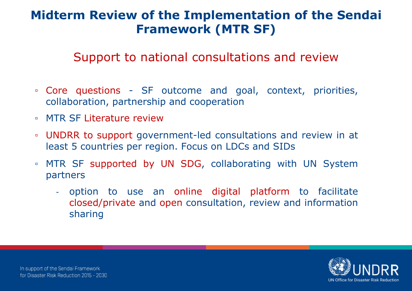#### Support to national consultations and review

- Core questions SF outcome and goal, context, priorities, collaboration, partnership and cooperation
- MTR SF Literature review
- UNDRR to support government-led consultations and review in at least 5 countries per region. Focus on LDCs and SIDs
- MTR SF supported by UN SDG, collaborating with UN System partners
	- option to use an online digital platform to facilitate closed/private and open consultation, review and information sharing

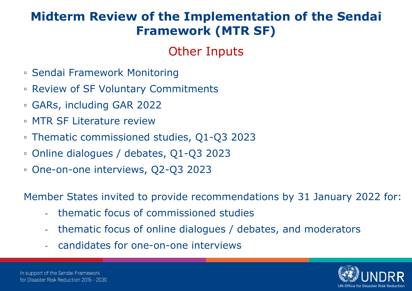# Other Inputs

- Sendai Framework Monitoring
- Review of SF Voluntary Commitments
- GARs, including GAR 2022
- MTR SF Literature review
- Thematic commissioned studies, Q1-Q3 2023
- Online dialogues / debates, Q1-Q3 2023
- One-on-one interviews, Q2-Q3 2023

Member States invited to provide recommendations by 31 January 2022 for:

- thematic focus of commissioned studies
- thematic focus of online dialogues / debates, and moderators
- candidates for one-on-one interviews

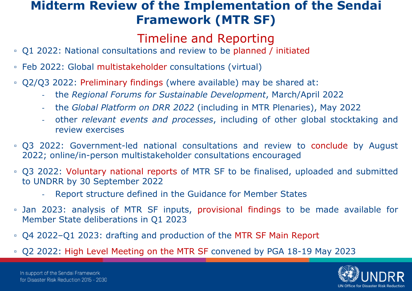#### Timeline and Reporting

- Q1 2022: National consultations and review to be planned / initiated
- Feb 2022: Global multistakeholder consultations (virtual)
- Q2/Q3 2022: Preliminary findings (where available) may be shared at:
	- the *Regional Forums for Sustainable Development*, March/April 2022
	- the *Global Platform on DRR 2022* (including in MTR Plenaries), May 2022
	- other *relevant events and processes*, including of other global stocktaking and review exercises
- Q3 2022: Government-led national consultations and review to conclude by August 2022; online/in-person multistakeholder consultations encouraged
- Q3 2022: Voluntary national reports of MTR SF to be finalised, uploaded and submitted to UNDRR by 30 September 2022
	- Report structure defined in the Guidance for Member States
- Jan 2023: analysis of MTR SF inputs, provisional findings to be made available for Member State deliberations in Q1 2023
- Q4 2022–Q1 2023: drafting and production of the MTR SF Main Report
- Q2 2022: High Level Meeting on the MTR SF convened by PGA 18-19 May 2023

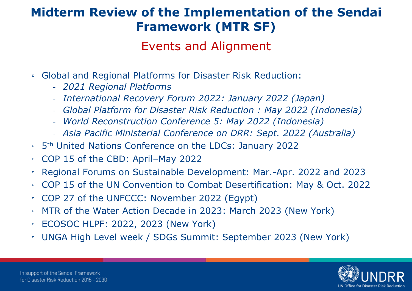#### Events and Alignment

- Global and Regional Platforms for Disaster Risk Reduction:
	- *2021 Regional Platforms*
	- *International Recovery Forum 2022: January 2022 (Japan)*
	- *Global Platform for Disaster Risk Reduction : May 2022 (Indonesia)*
	- *World Reconstruction Conference 5: May 2022 (Indonesia)*
	- *Asia Pacific Ministerial Conference on DRR: Sept. 2022 (Australia)*
- □ 5<sup>th</sup> United Nations Conference on the LDCs: January 2022
- COP 15 of the CBD: April–May 2022
- Regional Forums on Sustainable Development: Mar.-Apr. 2022 and 2023
- COP 15 of the UN Convention to Combat Desertification: May & Oct. 2022
- COP 27 of the UNFCCC: November 2022 (Egypt)
- MTR of the Water Action Decade in 2023: March 2023 (New York)
- ECOSOC HLPF: 2022, 2023 (New York)
- UNGA High Level week / SDGs Summit: September 2023 (New York)